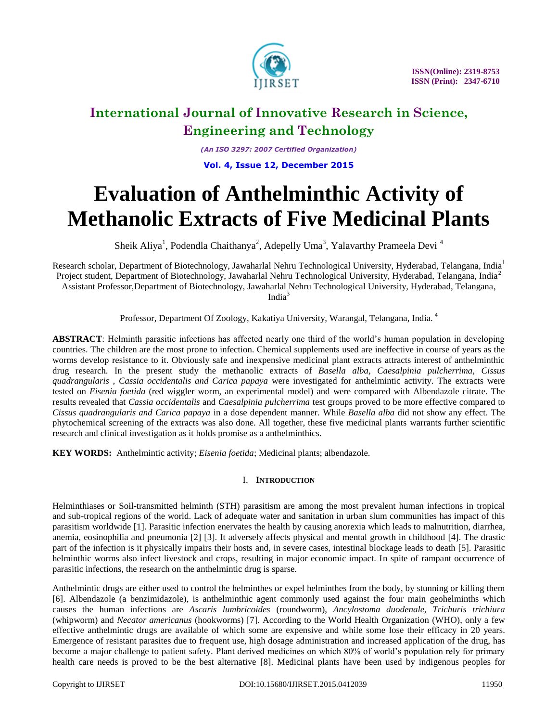

*(An ISO 3297: 2007 Certified Organization)* **Vol. 4, Issue 12, December 2015**

# **Evaluation of Anthelminthic Activity of Methanolic Extracts of Five Medicinal Plants**

Sheik Aliya<sup>1</sup>, Podendla Chaithanya<sup>2</sup>, Adepelly Uma<sup>3</sup>, Yalavarthy Prameela Devi<sup>4</sup>

Research scholar, Department of Biotechnology, Jawaharlal Nehru Technological University, Hyderabad, Telangana, India<sup>1</sup> Project student, Department of Biotechnology, Jawaharlal Nehru Technological University, Hyderabad, Telangana, India<sup>2</sup> Assistant Professor,Department of Biotechnology, Jawaharlal Nehru Technological University, Hyderabad, Telangana, India<sup>3</sup>

Professor, Department Of Zoology, Kakatiya University, Warangal, Telangana, India. <sup>4</sup>

**ABSTRACT**: Helminth parasitic infections has affected nearly one third of the world's human population in developing countries. The children are the most prone to infection. Chemical supplements used are ineffective in course of years as the worms develop resistance to it. Obviously safe and inexpensive medicinal plant extracts attracts interest of anthelminthic drug research. In the present study the methanolic extracts of *Basella alba, Caesalpinia pulcherrima, Cissus quadrangularis , Cassia occidentalis and Carica papaya* were investigated for anthelmintic activity. The extracts were tested on *Eisenia foetida* (red wiggler worm, an experimental model) and were compared with Albendazole citrate. The results revealed that *Cassia occidentalis* and *Caesalpinia pulcherrima* test groups proved to be more effective compared to *Cissus quadrangularis and Carica papaya* in a dose dependent manner. While *Basella alba* did not show any effect. The phytochemical screening of the extracts was also done. All together, these five medicinal plants warrants further scientific research and clinical investigation as it holds promise as a anthelminthics.

**KEY WORDS:** Anthelmintic activity; *Eisenia foetida*; Medicinal plants; albendazole.

### I. **INTRODUCTION**

Helminthiases or Soil-transmitted helminth (STH) parasitism are among the most prevalent human infections in tropical and sub-tropical regions of the world. Lack of adequate water and sanitation in urban slum communities has impact of this parasitism worldwide [1]. Parasitic infection enervates the health by causing anorexia which leads to malnutrition, diarrhea, anemia, eosinophilia and pneumonia [2] [3]. It adversely affects physical and mental growth in childhood [4]. The drastic part of the infection is it physically impairs their hosts and, in severe cases, intestinal blockage leads to death [5]. Parasitic helminthic worms also infect livestock and crops, resulting in major economic impact. In spite of rampant occurrence of parasitic infections, the research on the anthelmintic drug is sparse.

Anthelmintic drugs are either used to control the helminthes or expel helminthes from the body, by stunning or killing them [6]. Albendazole (a benzimidazole), is anthelminthic agent commonly used against the four main geohelminths which causes the human infections are *Ascaris lumbricoides* (roundworm), *Ancylostoma duodenale, Trichuris trichiura* (whipworm) and *Necator americanus* (hookworms) [7]. According to the World Health Organization (WHO), only a few effective anthelmintic drugs are available of which some are expensive and while some lose their efficacy in 20 years. Emergence of resistant parasites due to frequent use, high dosage administration and increased application of the drug, has become a major challenge to patient safety. Plant derived medicines on which 80% of world's population rely for primary health care needs is proved to be the best alternative [8]. Medicinal plants have been used by indigenous peoples for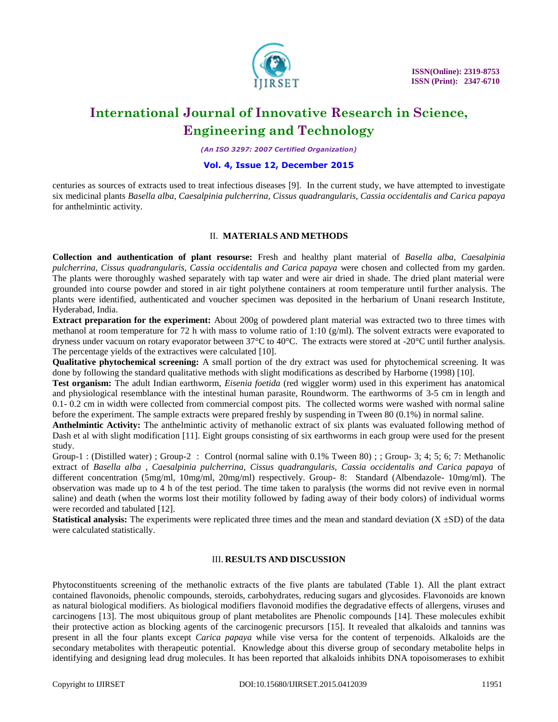

*(An ISO 3297: 2007 Certified Organization)*

#### **Vol. 4, Issue 12, December 2015**

centuries as sources of extracts used to treat infectious diseases [9]. In the current study, we have attempted to investigate six medicinal plants *Basella alba, Caesalpinia pulcherrina, Cissus quadrangularis, Cassia occidentalis and Carica papaya* for anthelmintic activity.

#### II. **MATERIALS AND METHODS**

**Collection and authentication of plant resourse:** Fresh and healthy plant material of *Basella alba, Caesalpinia pulcherrina, Cissus quadrangularis, Cassia occidentalis and Carica papaya* were chosen and collected from my garden. The plants were thoroughly washed separately with tap water and were air dried in shade. The dried plant material were grounded into course powder and stored in air tight polythene containers at room temperature until further analysis. The plants were identified, authenticated and voucher specimen was deposited in the herbarium of Unani research Institute, Hyderabad, India.

**Extract preparation for the experiment:** About 200g of powdered plant material was extracted two to three times with methanol at room temperature for 72 h with mass to volume ratio of 1:10 (g/ml). The solvent extracts were evaporated to dryness under vacuum on rotary evaporator between 37°C to 40°C. The extracts were stored at -20°C until further analysis. The percentage yields of the extractives were calculated [10].

**Qualitative phytochemical screening:** A small portion of the dry extract was used for phytochemical screening. It was done by following the standard qualitative methods with slight modifications as described by Harborne (1998) [10].

**Test organism:** The adult Indian earthworm, *Eisenia foetida* (red wiggler worm) used in this experiment has anatomical and physiological resemblance with the intestinal human parasite, Roundworm. The earthworms of 3-5 cm in length and 0.1- 0.2 cm in width were collected from commercial compost pits. The collected worms were washed with normal saline before the experiment. The sample extracts were prepared freshly by suspending in Tween 80 (0.1%) in normal saline.

**Anthelmintic Activity:** The anthelmintic activity of methanolic extract of six plants was evaluated following method of Dash et al with slight modification [11]. Eight groups consisting of six earthworms in each group were used for the present study.

Group-1 : (Distilled water) ; Group-2 : Control (normal saline with 0.1% Tween 80) ; ; Group-3; 4; 5; 6; 7: Methanolic extract of *Basella alba* , *Caesalpinia pulcherrina, Cissus quadrangularis, Cassia occidentalis and Carica papaya* of different concentration (5mg/ml, 10mg/ml, 20mg/ml) respectively. Group- 8: Standard (Albendazole- 10mg/ml). The observation was made up to 4 h of the test period. The time taken to paralysis (the worms did not revive even in normal saline) and death (when the worms lost their motility followed by fading away of their body colors) of individual worms were recorded and tabulated [12].

**Statistical analysis:** The experiments were replicated three times and the mean and standard deviation  $(X \pm SD)$  of the data were calculated statistically.

### III. **RESULTS AND DISCUSSION**

Phytoconstituents screening of the methanolic extracts of the five plants are tabulated (Table 1). All the plant extract contained flavonoids, phenolic compounds, steroids, carbohydrates, reducing sugars and glycosides. Flavonoids are known as natural biological modifiers. As biological modifiers flavonoid modifies the degradative effects of allergens, viruses and carcinogens [13]. The most ubiquitous group of plant metabolites are Phenolic compounds [14]. These molecules exhibit their protective action as blocking agents of the carcinogenic precursors [15]. It revealed that alkaloids and tannins was present in all the four plants except *Carica papaya* while vise versa for the content of terpenoids. Alkaloids are the secondary metabolites with therapeutic potential. Knowledge about this diverse group of secondary metabolite helps in identifying and designing lead drug molecules. It has been reported that alkaloids inhibits DNA topoisomerases to exhibit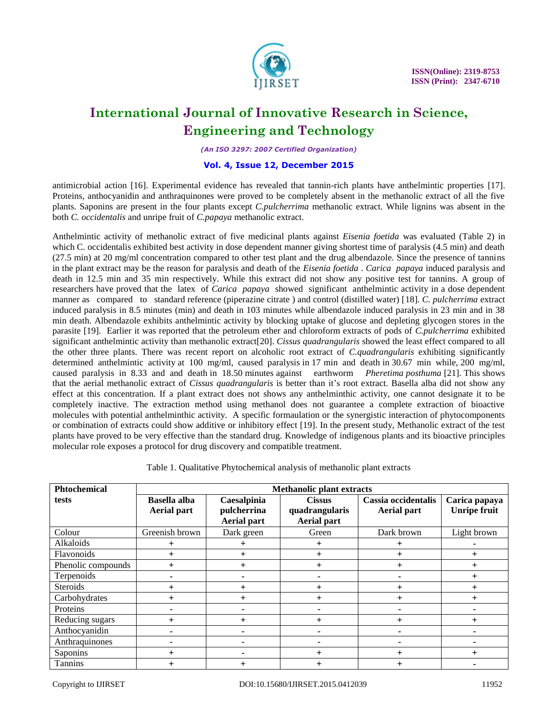

*(An ISO 3297: 2007 Certified Organization)*

#### **Vol. 4, Issue 12, December 2015**

antimicrobial action [16]. Experimental evidence has revealed that tannin-rich plants have anthelmintic properties [17]. Proteins, anthocyanidin and anthraquinones were proved to be completely absent in the methanolic extract of all the five plants. Saponins are present in the four plants except *C.pulcherrima* methanolic extract. While lignins was absent in the both *C. occidentalis* and unripe fruit of *C.papaya* methanolic extract.

Anthelmintic activity of methanolic extract of five medicinal plants against *Eisenia foetida* was evaluated (Table 2) in which C. occidentalis exhibited best activity in dose dependent manner giving shortest time of paralysis (4.5 min) and death (27.5 min) at 20 mg/ml concentration compared to other test plant and the drug albendazole. Since the presence of tannins in the plant extract may be the reason for paralysis and death of the *Eisenia foetida* . *Carica papaya* induced paralysis and death in 12.5 min and 35 min respectively. While this extract did not show any positive test for tannins. A group of researchers have proved that the latex of *Carica papaya* showed significant anthelmintic activity in a dose dependent manner as compared to standard reference (piperazine citrate ) and control (distilled water) [18]. *C. pulcherrima* extract induced paralysis in 8.5 minutes (min) and death in 103 minutes while albendazole induced paralysis in 23 min and in 38 min death. Albendazole exhibits anthelmintic activity by blocking uptake of glucose and depleting glycogen stores in the parasite [19]. Earlier it was reported that the petroleum ether and chloroform extracts of pods of *C.pulcherrima* exhibited significant anthelmintic activity than methanolic extract[20]. *Cissus quadrangularis* showed the least effect compared to all the other three plants. There was recent report on alcoholic root extract of *C.quadrangularis* exhibiting significantly determined anthelmintic activity at 100 mg/ml, caused paralysis in 17 min and death in 30.67 min while, 200 mg/ml, caused paralysis in 8.33 and and death in 18.50 minutes against earthworm *Pheretima posthuma* [21]. This shows that the aerial methanolic extract of *Cissus quadrangularis* is better than it's root extract. Basella alba did not show any effect at this concentration. If a plant extract does not shows any anthelminthic activity, one cannot designate it to be completely inactive. The extraction method using methanol does not guarantee a complete extraction of bioactive molecules with potential anthelminthic activity. A specific formaulation or the synergistic interaction of phytocomponents or combination of extracts could show additive or inhibitory effect [19]. In the present study, Methanolic extract of the test plants have proved to be very effective than the standard drug. Knowledge of indigenous plants and its bioactive principles molecular role exposes a protocol for drug discovery and compatible treatment.

| <b>Phtochemical</b> | <b>Methanolic plant extracts</b>          |                                                  |                                                       |                                           |                                      |  |
|---------------------|-------------------------------------------|--------------------------------------------------|-------------------------------------------------------|-------------------------------------------|--------------------------------------|--|
| tests               | <b>Basella alba</b><br><b>Aerial part</b> | Caesalpinia<br>pulcherrina<br><b>Aerial part</b> | <b>Cissus</b><br>quadrangularis<br><b>Aerial part</b> | Cassia occidentalis<br><b>Aerial part</b> | Carica papaya<br><b>Unripe fruit</b> |  |
| Colour              | Greenish brown                            | Dark green                                       | Green                                                 | Dark brown                                | Light brown                          |  |
| Alkaloids           |                                           | $\pm$                                            | $\mathrm{+}$                                          | $\pm$                                     |                                      |  |
| Flavonoids          | $^{+}$                                    | $\pm$                                            | $\pm$                                                 |                                           |                                      |  |
| Phenolic compounds  | $^{+}$                                    | $^{+}$                                           | $^{+}$                                                | $\pm$                                     |                                      |  |
| Terpenoids          |                                           |                                                  |                                                       |                                           |                                      |  |
| Steroids            |                                           | $\ddot{}$                                        | $\overline{+}$                                        | $\div$                                    |                                      |  |
| Carbohydrates       |                                           | $\ddot{}$                                        | $\mathrm{+}$                                          |                                           |                                      |  |
| Proteins            |                                           |                                                  |                                                       |                                           |                                      |  |
| Reducing sugars     |                                           | $\pm$                                            | $\mathrm{+}$                                          |                                           |                                      |  |
| Anthocyanidin       |                                           |                                                  |                                                       |                                           |                                      |  |
| Anthraquinones      |                                           |                                                  |                                                       |                                           |                                      |  |
| Saponins            |                                           |                                                  |                                                       |                                           |                                      |  |
| <b>Tannins</b>      |                                           |                                                  |                                                       |                                           |                                      |  |

Table 1. Qualitative Phytochemical analysis of methanolic plant extracts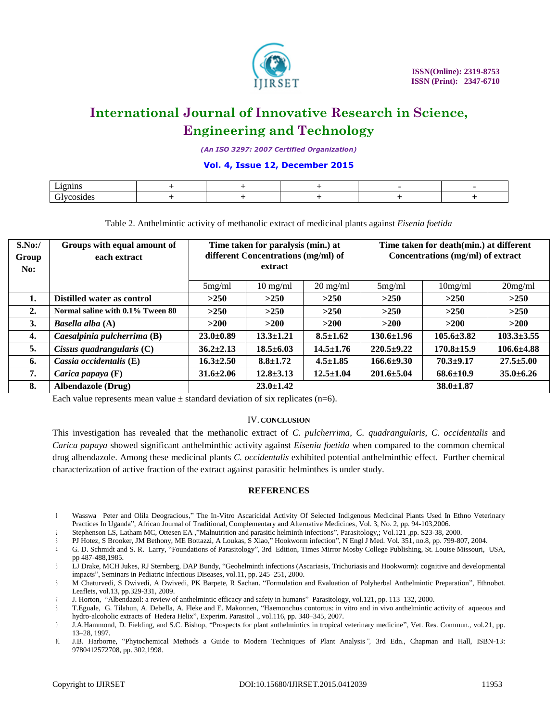

*(An ISO 3297: 2007 Certified Organization)*

#### **Vol. 4, Issue 12, December 2015**

| $ -$<br>--------<br>. |  |  |  |
|-----------------------|--|--|--|
| $\sim$<br>.           |  |  |  |

Table 2. Anthelmintic activity of methanolic extract of medicinal plants against *Eisenia foetida*

| S.No:<br>Group<br>No: | Groups with equal amount of<br>each extract | Time taken for paralysis (min.) at<br>different Concentrations (mg/ml) of<br>extract |                    |                    | Time taken for death(min.) at different<br>Concentrations (mg/ml) of extract |                  |                  |
|-----------------------|---------------------------------------------|--------------------------------------------------------------------------------------|--------------------|--------------------|------------------------------------------------------------------------------|------------------|------------------|
|                       |                                             | 5mg/ml                                                                               | $10 \text{ mg/ml}$ | $20 \text{ mg/ml}$ | 5mg/ml                                                                       | 10mg/ml          | 20mg/ml          |
| 1.                    | Distilled water as control                  | >250                                                                                 | >250               | >250               | >250                                                                         | >250             | >250             |
| 2.                    | Normal saline with 0.1% Tween 80            | >250                                                                                 | >250               | >250               | >250                                                                         | >250             | >250             |
| 3.                    | Basella alba (A)                            | $>200$                                                                               | >200               | >200               | >200                                                                         | >200             | >200             |
| 4.                    | Caesalpinia pulcherrima (B)                 | $23.0 \pm 0.89$                                                                      | $13.3 \pm 1.21$    | $8.5 \pm 1.62$     | $130.6 \pm 1.96$                                                             | $105.6 \pm 3.82$ | $103.3 \pm 3.55$ |
| 5.                    | Cissus quadrangularis $(C)$                 | $36.2 \pm 2.13$                                                                      | $18.5 \pm 6.03$    | $14.5 \pm 1.76$    | $220.5+9.22$                                                                 | $170.8 \pm 15.9$ | $106.6{\pm}4.88$ |
| 6.                    | Cassia occidentalis (E)                     | $16.3 \pm 2.50$                                                                      | $8.8 \pm 1.72$     | $4.5 \pm 1.85$     | $166.6{\pm}9.30$                                                             | $70.3 + 9.17$    | $27.5 \pm 5.00$  |
| 7.                    | <i>Carica papaya</i> $(F)$                  | $31.6 \pm 2.06$                                                                      | $12.8 \pm 3.13$    | $12.5 \pm 1.04$    | $201.6 \pm 5.04$                                                             | $68.6{\pm}10.9$  | $35.0 \pm 6.26$  |
| 8.                    | <b>Albendazole (Drug)</b>                   | $23.0 \pm 1.42$                                                                      |                    | $38.0 \pm 1.87$    |                                                                              |                  |                  |

Each value represents mean value  $\pm$  standard deviation of six replicates (n=6).

#### IV. **CONCLUSION**

This investigation has revealed that the methanolic extract of *C. pulcherrima, C. quadrangularis, C. occidentalis* and *Carica papaya* showed significant anthelminthic activity against *Eisenia foetida* when compared to the common chemical drug albendazole. Among these medicinal plants *C. occidentalis* exhibited potential anthelminthic effect. Further chemical characterization of active fraction of the extract against parasitic helminthes is under study.

#### **REFERENCES**

- 1. Wasswa Peter and Olila Deogracious," The In-Vitro Ascaricidal Activity Of Selected Indigenous Medicinal Plants Used In Ethno Veterinary Practices In Uganda", African Journal of Traditional, Complementary and Alternative Medicines, Vol. 3, No. 2, pp. 94-103,2006.
- 2. Stephenson LS, Latham MC, Ottesen EA ,"Malnutrition and parasitic helminth infections", Parasitology,; Vol.121 ,pp. S23-38, 2000.
- 3. PJ Hotez, S Brooker, JM Bethony, ME Bottazzi, A Loukas, S Xiao," Hookworm infection", N Engl J Med. Vol. 351, no.8, pp. 799-807, 2004.
- 4. G. D. Schmidt and S. R. Larry, "Foundations of Parasitology", 3rd Edition, Times Mirror Mosby College Publishing, St. Louise Missouri, USA, pp 487-488,1985.
- 5. LJ Drake, MCH Jukes, RJ Sternberg, DAP Bundy, "Geohelminth infections (Ascariasis, Trichuriasis and Hookworm): cognitive and developmental impacts", Seminars in Pediatric Infectious Diseases, vol.11, pp. 245–251, 2000.
- 6. M Chaturvedi, S Dwivedi, A Dwivedi, PK Barpete, R Sachan. "Formulation and Evaluation of Polyherbal Anthelmintic Preparation", Ethnobot. Leaflets, vol.13, pp.329-331, 2009.
- 7. J. Horton, "Albendazol: a review of anthelmintic efficacy and safety in humans" Parasitology, vol.121, pp. 113–132, 2000.
- 8. T.Eguale, G. Tilahun, A. Debella, A. Fleke and E. Makonnen, "Haemonchus contortus: in vitro and in vivo anthelmintic activity of aqueous and hydro-alcoholic extracts of Hedera Helix", Experim. Parasitol ., vol.116, pp. 340–345, 2007.
- 9. J.A.Hammond, D. Fielding, and S.C. Bishop, "Prospects for plant anthelmintics in tropical veterinary medicine", Vet. Res. Commun., vol.21, pp. 13–28, 1997.
- 10. J.B. Harborne, "Phytochemical Methods a Guide to Modern Techniques of Plant Analysis*",* 3rd Edn., Chapman and Hall, ISBN-13: 9780412572708, pp. 302,1998.